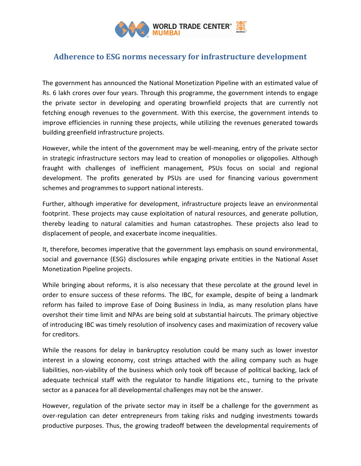

## Adherence to ESG norms necessary for infrastructure development

The government has announced the National Monetization Pipeline with an estimated value of Rs. 6 lakh crores over four years. Through this programme, the government intends to engage the private sector in developing and operating brownfield projects that are currently not fetching enough revenues to the government. With this exercise, the government intends to improve efficiencies in running these projects, while utilizing the revenues generated towards building greenfield infrastructure projects.

However, while the intent of the government may be well-meaning, entry of the private sector in strategic infrastructure sectors may lead to creation of monopolies or oligopolies. Although fraught with challenges of inefficient management, PSUs focus on social and regional development. The profits generated by PSUs are used for financing various government schemes and programmes to support national interests.

Further, although imperative for development, infrastructure projects leave an environmental footprint. These projects may cause exploitation of natural resources, and generate pollution, thereby leading to natural calamities and human catastrophes. These projects also lead to displacement of people, and exacerbate income inequalities.

It, therefore, becomes imperative that the government lays emphasis on sound environmental, social and governance (ESG) disclosures while engaging private entities in the National Asset Monetization Pipeline projects.

While bringing about reforms, it is also necessary that these percolate at the ground level in order to ensure success of these reforms. The IBC, for example, despite of being a landmark reform has failed to improve Ease of Doing Business in India, as many resolution plans have overshot their time limit and NPAs are being sold at substantial haircuts. The primary objective of introducing IBC was timely resolution of insolvency cases and maximization of recovery value for creditors.

While the reasons for delay in bankruptcy resolution could be many such as lower investor interest in a slowing economy, cost strings attached with the ailing company such as huge liabilities, non-viability of the business which only took off because of political backing, lack of adequate technical staff with the regulator to handle litigations etc., turning to the private sector as a panacea for all developmental challenges may not be the answer.

However, regulation of the private sector may in itself be a challenge for the government as over-regulation can deter entrepreneurs from taking risks and nudging investments towards productive purposes. Thus, the growing tradeoff between the developmental requirements of